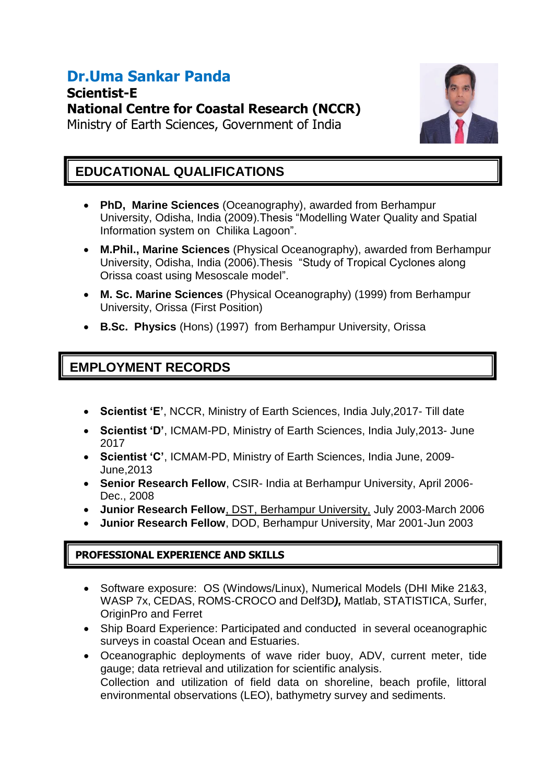# **Dr.Uma Sankar Panda**

**Scientist-E National Centre for Coastal Research (NCCR)** Ministry of Earth Sciences, Government of India



### **EDUCATIONAL QUALIFICATIONS**

- **PhD, Marine Sciences** (Oceanography), awarded from Berhampur University, Odisha, India (2009).Thesis "Modelling Water Quality and Spatial Information system on Chilika Lagoon".
- **M.Phil., Marine Sciences** (Physical Oceanography), awarded from Berhampur University, Odisha, India (2006).Thesis "Study of Tropical Cyclones along Orissa coast using Mesoscale model".
- **M. Sc. Marine Sciences** (Physical Oceanography) (1999) from Berhampur University, Orissa (First Position)
- **B.Sc. Physics** (Hons) (1997) from Berhampur University, Orissa

### **EMPLOYMENT RECORDS**

- **Scientist 'E'**, NCCR, Ministry of Earth Sciences, India July,2017- Till date
- **Scientist 'D'**, ICMAM-PD, Ministry of Earth Sciences, India July,2013- June 2017
- **Scientist 'C'**, ICMAM-PD, Ministry of Earth Sciences, India June, 2009- June,2013
- **Senior Research Fellow**, CSIR- India at Berhampur University, April 2006- Dec., 2008
- **Junior Research Fellow**, DST, Berhampur University, July 2003-March 2006
- **Junior Research Fellow**, DOD, Berhampur University, Mar 2001-Jun 2003

#### **PROFESSIONAL EXPERIENCE AND SKILLS**

- Software exposure: OS (Windows/Linux), Numerical Models (DHI Mike 21&3, WASP 7x, CEDAS, ROMS-CROCO and Delf3D*),* Matlab, STATISTICA, Surfer, OriginPro and Ferret
- Ship Board Experience: Participated and conducted in several oceanographic surveys in coastal Ocean and Estuaries.
- Oceanographic deployments of wave rider buoy, ADV, current meter, tide gauge; data retrieval and utilization for scientific analysis. Collection and utilization of field data on shoreline, beach profile, littoral environmental observations (LEO), bathymetry survey and sediments.